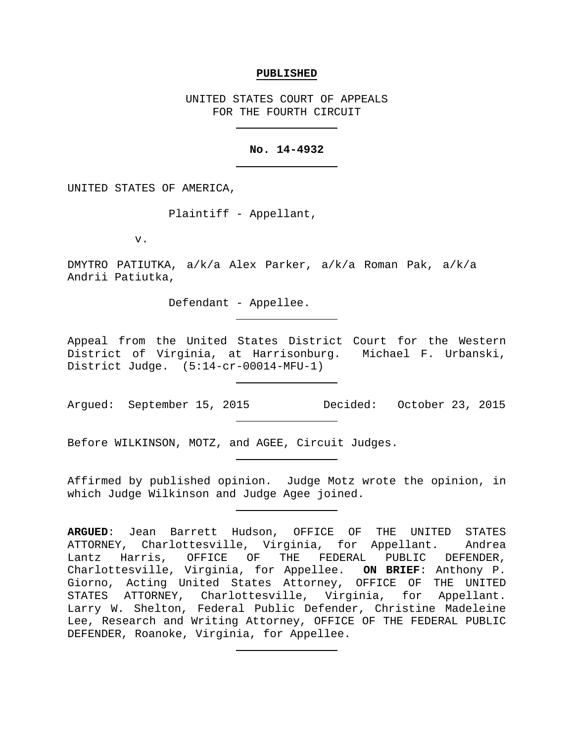## **PUBLISHED**

UNITED STATES COURT OF APPEALS FOR THE FOURTH CIRCUIT

# **No. 14-4932**

UNITED STATES OF AMERICA,

Plaintiff - Appellant,

v.

DMYTRO PATIUTKA, a/k/a Alex Parker, a/k/a Roman Pak, a/k/a Andrii Patiutka,

Defendant - Appellee.

Appeal from the United States District Court for the Western District of Virginia, at Harrisonburg. Michael F. Urbanski, District Judge. (5:14-cr-00014-MFU-1)

Argued: September 15, 2015 Decided: October 23, 2015

Before WILKINSON, MOTZ, and AGEE, Circuit Judges.

Affirmed by published opinion. Judge Motz wrote the opinion, in which Judge Wilkinson and Judge Agee joined.

**ARGUED**: Jean Barrett Hudson, OFFICE OF THE UNITED STATES ATTORNEY, Charlottesville, Virginia, for Appellant. Andrea Lantz Harris, OFFICE OF THE FEDERAL PUBLIC DEFENDER, Charlottesville, Virginia, for Appellee. **ON BRIEF**: Anthony P. Giorno, Acting United States Attorney, OFFICE OF THE UNITED STATES ATTORNEY, Charlottesville, Virginia, for Appellant. Larry W. Shelton, Federal Public Defender, Christine Madeleine Lee, Research and Writing Attorney, OFFICE OF THE FEDERAL PUBLIC DEFENDER, Roanoke, Virginia, for Appellee.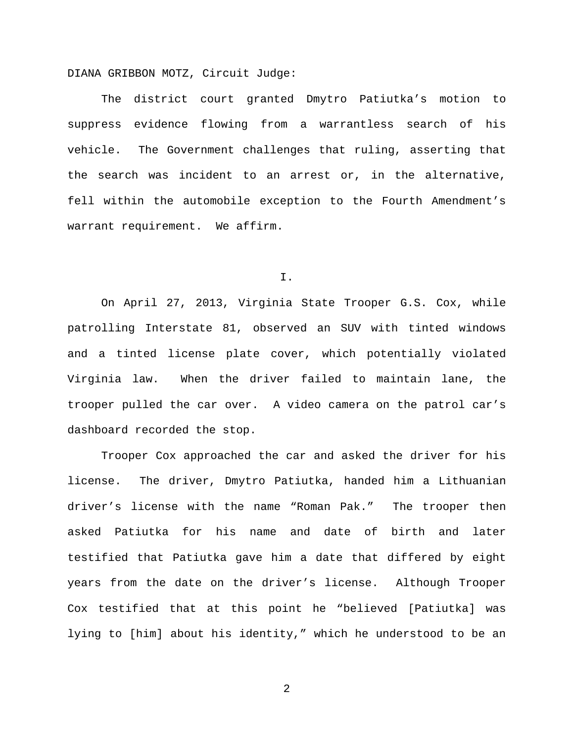DIANA GRIBBON MOTZ, Circuit Judge:

The district court granted Dmytro Patiutka's motion to suppress evidence flowing from a warrantless search of his vehicle. The Government challenges that ruling, asserting that the search was incident to an arrest or, in the alternative, fell within the automobile exception to the Fourth Amendment's warrant requirement. We affirm.

I.

On April 27, 2013, Virginia State Trooper G.S. Cox, while patrolling Interstate 81, observed an SUV with tinted windows and a tinted license plate cover, which potentially violated Virginia law. When the driver failed to maintain lane, the trooper pulled the car over. A video camera on the patrol car's dashboard recorded the stop.

Trooper Cox approached the car and asked the driver for his license. The driver, Dmytro Patiutka, handed him a Lithuanian driver's license with the name "Roman Pak." The trooper then asked Patiutka for his name and date of birth and later testified that Patiutka gave him a date that differed by eight years from the date on the driver's license. Although Trooper Cox testified that at this point he "believed [Patiutka] was lying to [him] about his identity," which he understood to be an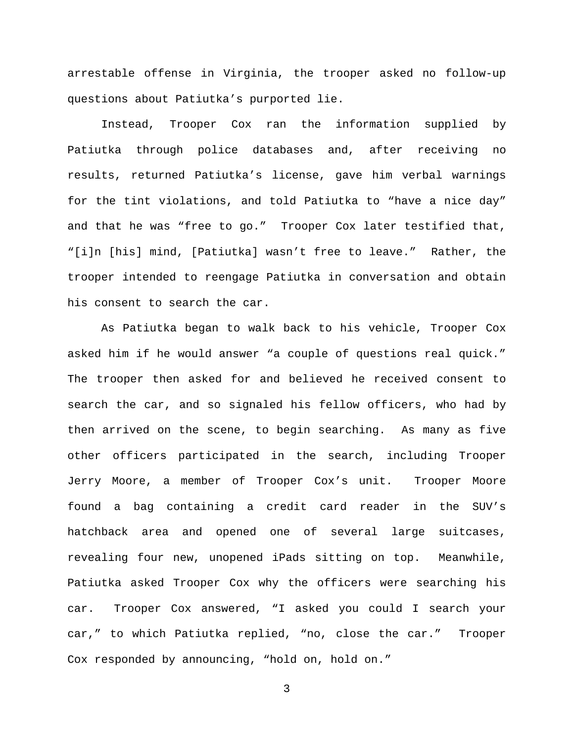arrestable offense in Virginia, the trooper asked no follow-up questions about Patiutka's purported lie.

Instead, Trooper Cox ran the information supplied by Patiutka through police databases and, after receiving no results, returned Patiutka's license, gave him verbal warnings for the tint violations, and told Patiutka to "have a nice day" and that he was "free to go." Trooper Cox later testified that, "[i]n [his] mind, [Patiutka] wasn't free to leave." Rather, the trooper intended to reengage Patiutka in conversation and obtain his consent to search the car.

As Patiutka began to walk back to his vehicle, Trooper Cox asked him if he would answer "a couple of questions real quick." The trooper then asked for and believed he received consent to search the car, and so signaled his fellow officers, who had by then arrived on the scene, to begin searching. As many as five other officers participated in the search, including Trooper Jerry Moore, a member of Trooper Cox's unit. Trooper Moore found a bag containing a credit card reader in the SUV's hatchback area and opened one of several large suitcases, revealing four new, unopened iPads sitting on top. Meanwhile, Patiutka asked Trooper Cox why the officers were searching his car. Trooper Cox answered, "I asked you could I search your car," to which Patiutka replied, "no, close the car." Trooper Cox responded by announcing, "hold on, hold on."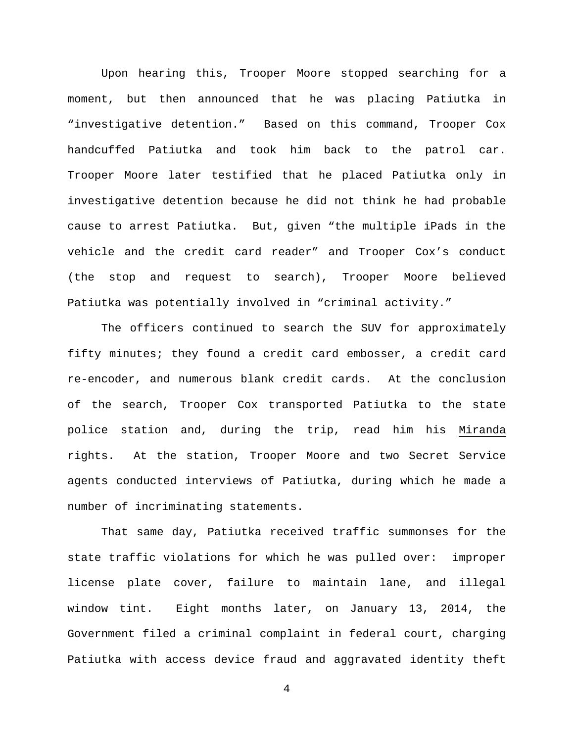Upon hearing this, Trooper Moore stopped searching for a moment, but then announced that he was placing Patiutka in "investigative detention." Based on this command, Trooper Cox handcuffed Patiutka and took him back to the patrol car. Trooper Moore later testified that he placed Patiutka only in investigative detention because he did not think he had probable cause to arrest Patiutka. But, given "the multiple iPads in the vehicle and the credit card reader" and Trooper Cox's conduct (the stop and request to search), Trooper Moore believed Patiutka was potentially involved in "criminal activity."

The officers continued to search the SUV for approximately fifty minutes; they found a credit card embosser, a credit card re-encoder, and numerous blank credit cards. At the conclusion of the search, Trooper Cox transported Patiutka to the state police station and, during the trip, read him his Miranda rights. At the station, Trooper Moore and two Secret Service agents conducted interviews of Patiutka, during which he made a number of incriminating statements.

That same day, Patiutka received traffic summonses for the state traffic violations for which he was pulled over: improper license plate cover, failure to maintain lane, and illegal window tint. Eight months later, on January 13, 2014, the Government filed a criminal complaint in federal court, charging Patiutka with access device fraud and aggravated identity theft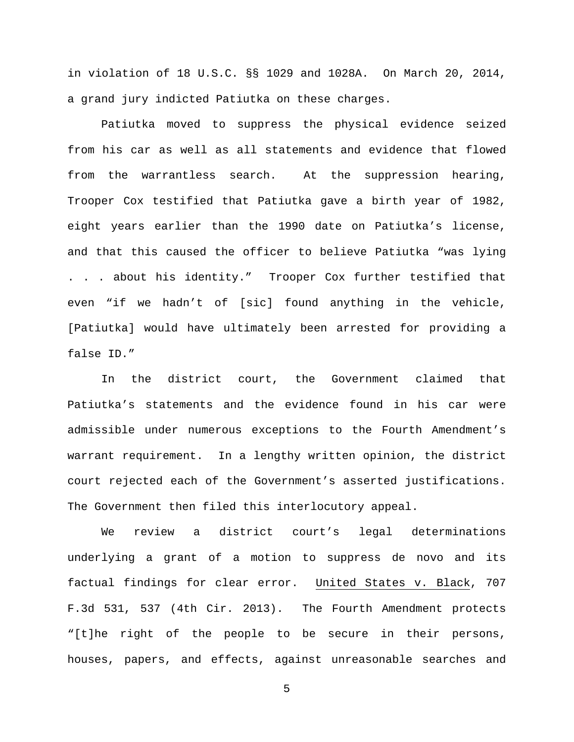in violation of 18 U.S.C. §§ 1029 and 1028A. On March 20, 2014, a grand jury indicted Patiutka on these charges.

Patiutka moved to suppress the physical evidence seized from his car as well as all statements and evidence that flowed from the warrantless search. At the suppression hearing, Trooper Cox testified that Patiutka gave a birth year of 1982, eight years earlier than the 1990 date on Patiutka's license, and that this caused the officer to believe Patiutka "was lying . . . about his identity." Trooper Cox further testified that even "if we hadn't of [sic] found anything in the vehicle, [Patiutka] would have ultimately been arrested for providing a false ID."

In the district court, the Government claimed that Patiutka's statements and the evidence found in his car were admissible under numerous exceptions to the Fourth Amendment's warrant requirement. In a lengthy written opinion, the district court rejected each of the Government's asserted justifications. The Government then filed this interlocutory appeal.

We review a district court's legal determinations underlying a grant of a motion to suppress de novo and its factual findings for clear error. United States v. Black, 707 F.3d 531, 537 (4th Cir. 2013). The Fourth Amendment protects "[t]he right of the people to be secure in their persons, houses, papers, and effects, against unreasonable searches and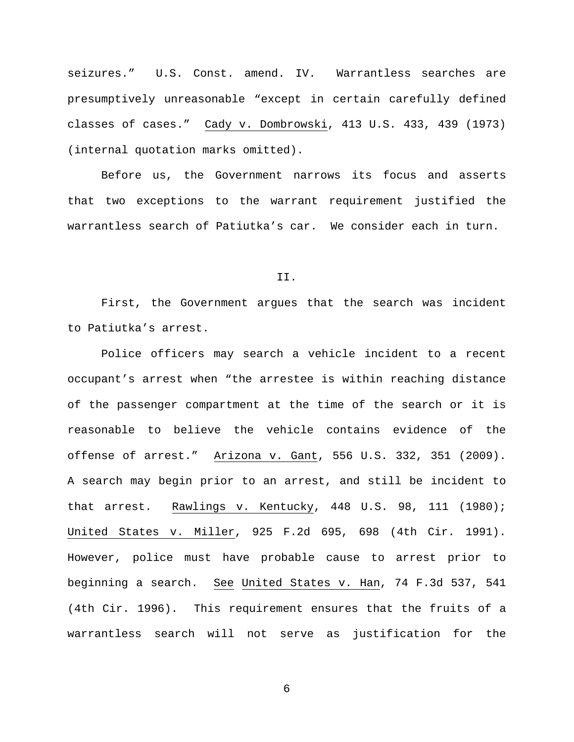seizures." U.S. Const. amend. IV. Warrantless searches are presumptively unreasonable "except in certain carefully defined classes of cases." Cady v. Dombrowski, 413 U.S. 433, 439 (1973) (internal quotation marks omitted).

Before us, the Government narrows its focus and asserts that two exceptions to the warrant requirement justified the warrantless search of Patiutka's car. We consider each in turn.

## II.

First, the Government argues that the search was incident to Patiutka's arrest.

Police officers may search a vehicle incident to a recent occupant's arrest when "the arrestee is within reaching distance of the passenger compartment at the time of the search or it is reasonable to believe the vehicle contains evidence of the offense of arrest." Arizona v. Gant, 556 U.S. 332, 351 (2009). A search may begin prior to an arrest, and still be incident to that arrest. Rawlings v. Kentucky, 448 U.S. 98, 111 (1980); United States v. Miller, 925 F.2d 695, 698 (4th Cir. 1991). However, police must have probable cause to arrest prior to beginning a search. See United States v. Han, 74 F.3d 537, 541 (4th Cir. 1996). This requirement ensures that the fruits of a warrantless search will not serve as justification for the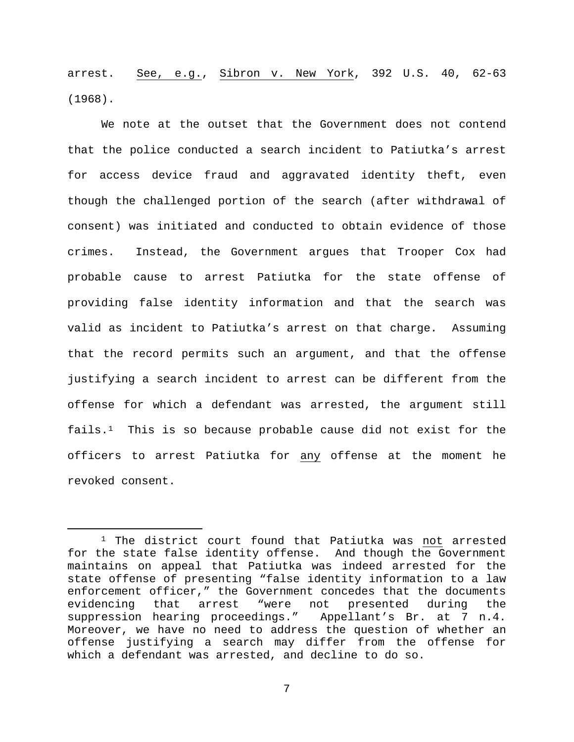arrest. See, e.g., Sibron v. New York, 392 U.S. 40, 62-63 (1968).

We note at the outset that the Government does not contend that the police conducted a search incident to Patiutka's arrest for access device fraud and aggravated identity theft, even though the challenged portion of the search (after withdrawal of consent) was initiated and conducted to obtain evidence of those crimes. Instead, the Government argues that Trooper Cox had probable cause to arrest Patiutka for the state offense of providing false identity information and that the search was valid as incident to Patiutka's arrest on that charge. Assuming that the record permits such an argument, and that the offense justifying a search incident to arrest can be different from the offense for which a defendant was arrested, the argument still fails.[1](#page-6-0) This is so because probable cause did not exist for the officers to arrest Patiutka for any offense at the moment he revoked consent.

<span id="page-6-0"></span><sup>&</sup>lt;sup>1</sup> The district court found that Patiutka was not arrested for the state false identity offense. And though the Government maintains on appeal that Patiutka was indeed arrested for the state offense of presenting "false identity information to a law enforcement officer," the Government concedes that the documents<br>evidencing that arrest "were not presented during the not presented during the suppression hearing proceedings." Appellant's Br. at 7 n.4. Moreover, we have no need to address the question of whether an offense justifying a search may differ from the offense for which a defendant was arrested, and decline to do so.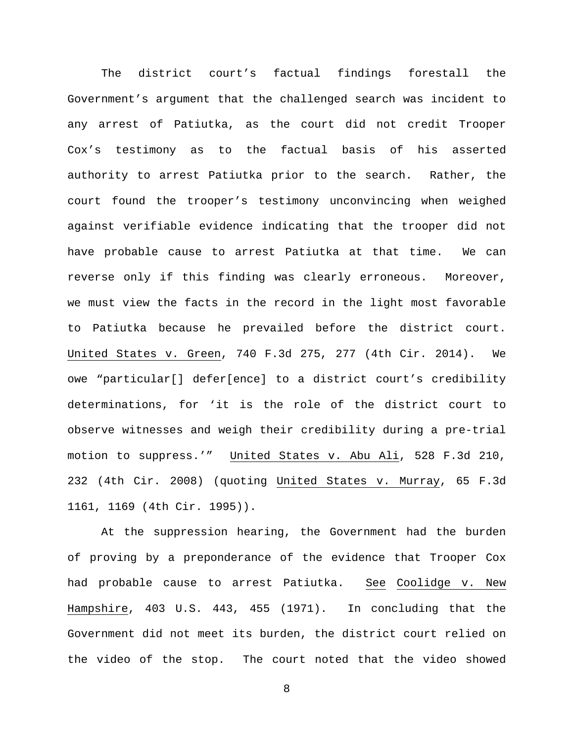The district court's factual findings forestall the Government's argument that the challenged search was incident to any arrest of Patiutka, as the court did not credit Trooper Cox's testimony as to the factual basis of his asserted authority to arrest Patiutka prior to the search. Rather, the court found the trooper's testimony unconvincing when weighed against verifiable evidence indicating that the trooper did not have probable cause to arrest Patiutka at that time. We can reverse only if this finding was clearly erroneous. Moreover, we must view the facts in the record in the light most favorable to Patiutka because he prevailed before the district court. United States v. Green, 740 F.3d 275, 277 (4th Cir. 2014). We owe "particular[] defer[ence] to a district court's credibility determinations, for 'it is the role of the district court to observe witnesses and weigh their credibility during a pre-trial motion to suppress.'" United States v. Abu Ali, 528 F.3d 210, 232 (4th Cir. 2008) (quoting United States v. Murray, 65 F.3d 1161, 1169 (4th Cir. 1995)).

At the suppression hearing, the Government had the burden of proving by a preponderance of the evidence that Trooper Cox had probable cause to arrest Patiutka. See Coolidge v. New Hampshire, 403 U.S. 443, 455 (1971). In concluding that the Government did not meet its burden, the district court relied on the video of the stop. The court noted that the video showed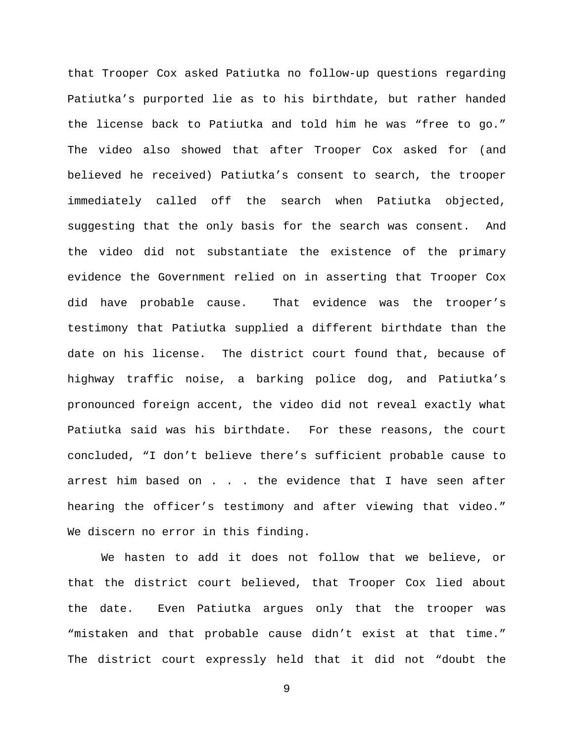that Trooper Cox asked Patiutka no follow-up questions regarding Patiutka's purported lie as to his birthdate, but rather handed the license back to Patiutka and told him he was "free to go." The video also showed that after Trooper Cox asked for (and believed he received) Patiutka's consent to search, the trooper immediately called off the search when Patiutka objected, suggesting that the only basis for the search was consent. And the video did not substantiate the existence of the primary evidence the Government relied on in asserting that Trooper Cox did have probable cause. That evidence was the trooper's testimony that Patiutka supplied a different birthdate than the date on his license. The district court found that, because of highway traffic noise, a barking police dog, and Patiutka's pronounced foreign accent, the video did not reveal exactly what Patiutka said was his birthdate. For these reasons, the court concluded, "I don't believe there's sufficient probable cause to arrest him based on . . . the evidence that I have seen after hearing the officer's testimony and after viewing that video." We discern no error in this finding.

We hasten to add it does not follow that we believe, or that the district court believed, that Trooper Cox lied about the date. Even Patiutka argues only that the trooper was "mistaken and that probable cause didn't exist at that time." The district court expressly held that it did not "doubt the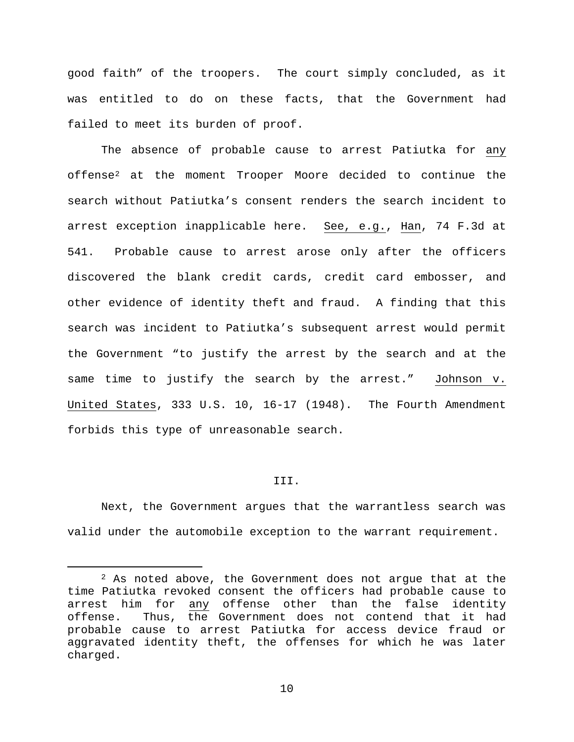good faith" of the troopers. The court simply concluded, as it was entitled to do on these facts, that the Government had failed to meet its burden of proof.

The absence of probable cause to arrest Patiutka for any offense[2](#page-9-0) at the moment Trooper Moore decided to continue the search without Patiutka's consent renders the search incident to arrest exception inapplicable here. See, e.g., Han, 74 F.3d at 541. Probable cause to arrest arose only after the officers discovered the blank credit cards, credit card embosser, and other evidence of identity theft and fraud. A finding that this search was incident to Patiutka's subsequent arrest would permit the Government "to justify the arrest by the search and at the same time to justify the search by the arrest." Johnson v. United States, 333 U.S. 10, 16-17 (1948). The Fourth Amendment forbids this type of unreasonable search.

#### III.

Next, the Government argues that the warrantless search was valid under the automobile exception to the warrant requirement.

<span id="page-9-0"></span> $2$  As noted above, the Government does not argue that at the time Patiutka revoked consent the officers had probable cause to arrest him for any offense other than the false identity<br>offense. Thus, the Government does not contend that it had Thus, the Government does not contend that it had probable cause to arrest Patiutka for access device fraud or aggravated identity theft, the offenses for which he was later charged.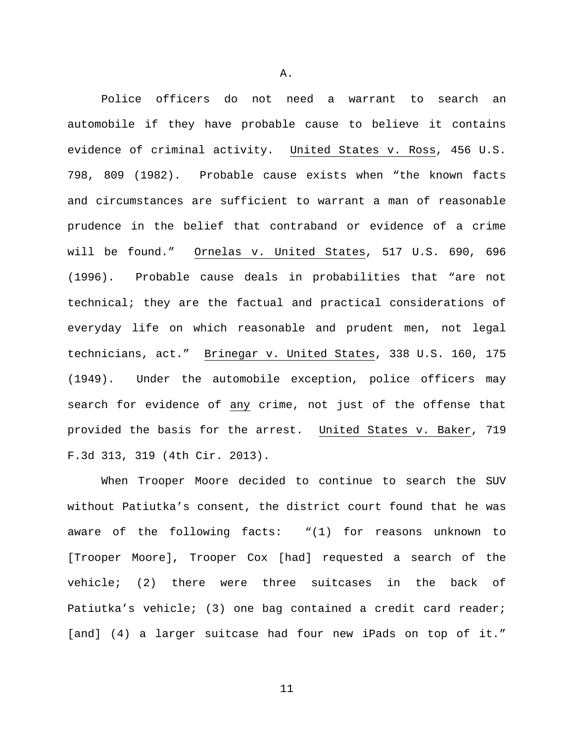Police officers do not need a warrant to search an automobile if they have probable cause to believe it contains evidence of criminal activity. United States v. Ross, 456 U.S. 798, 809 (1982). Probable cause exists when "the known facts and circumstances are sufficient to warrant a man of reasonable prudence in the belief that contraband or evidence of a crime will be found." Ornelas v. United States, 517 U.S. 690, 696 (1996). Probable cause deals in probabilities that "are not technical; they are the factual and practical considerations of everyday life on which reasonable and prudent men, not legal technicians, act." Brinegar v. United States, 338 U.S. 160, 175 (1949). Under the automobile exception, police officers may search for evidence of any crime, not just of the offense that provided the basis for the arrest. United States v. Baker, 719 F.3d 313, 319 (4th Cir. 2013).

When Trooper Moore decided to continue to search the SUV without Patiutka's consent, the district court found that he was aware of the following facts: "(1) for reasons unknown to [Trooper Moore], Trooper Cox [had] requested a search of the vehicle; (2) there were three suitcases in the back of Patiutka's vehicle; (3) one bag contained a credit card reader; [and] (4) a larger suitcase had four new iPads on top of it."

A.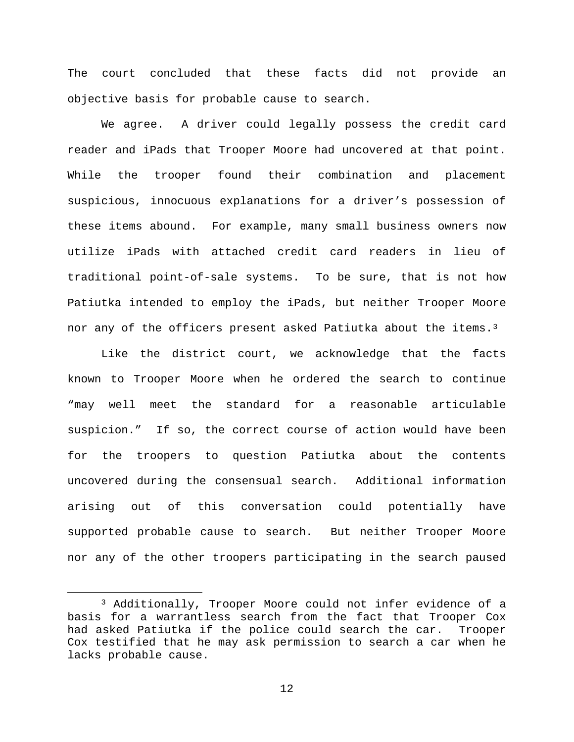The court concluded that these facts did not provide an objective basis for probable cause to search.

We agree. A driver could legally possess the credit card reader and iPads that Trooper Moore had uncovered at that point. While the trooper found their combination and placement suspicious, innocuous explanations for a driver's possession of these items abound. For example, many small business owners now utilize iPads with attached credit card readers in lieu of traditional point-of-sale systems. To be sure, that is not how Patiutka intended to employ the iPads, but neither Trooper Moore nor any of the officers present asked Patiutka about the items.<sup>[3](#page-11-0)</sup>

Like the district court, we acknowledge that the facts known to Trooper Moore when he ordered the search to continue "may well meet the standard for a reasonable articulable suspicion." If so, the correct course of action would have been for the troopers to question Patiutka about the contents uncovered during the consensual search. Additional information arising out of this conversation could potentially have supported probable cause to search. But neither Trooper Moore nor any of the other troopers participating in the search paused

<span id="page-11-0"></span> <sup>3</sup> Additionally, Trooper Moore could not infer evidence of a basis for a warrantless search from the fact that Trooper Cox had asked Patiutka if the police could search the car. Trooper Cox testified that he may ask permission to search a car when he lacks probable cause.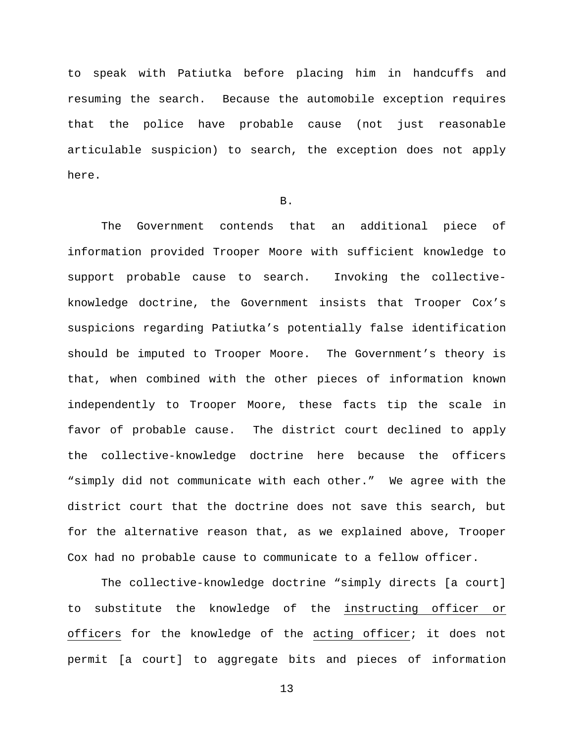to speak with Patiutka before placing him in handcuffs and resuming the search. Because the automobile exception requires that the police have probable cause (not just reasonable articulable suspicion) to search, the exception does not apply here.

# B.

The Government contends that an additional piece of information provided Trooper Moore with sufficient knowledge to support probable cause to search. Invoking the collectiveknowledge doctrine, the Government insists that Trooper Cox's suspicions regarding Patiutka's potentially false identification should be imputed to Trooper Moore. The Government's theory is that, when combined with the other pieces of information known independently to Trooper Moore, these facts tip the scale in favor of probable cause. The district court declined to apply the collective-knowledge doctrine here because the officers "simply did not communicate with each other." We agree with the district court that the doctrine does not save this search, but for the alternative reason that, as we explained above, Trooper Cox had no probable cause to communicate to a fellow officer.

The collective-knowledge doctrine "simply directs [a court] to substitute the knowledge of the instructing officer or officers for the knowledge of the acting officer; it does not permit [a court] to aggregate bits and pieces of information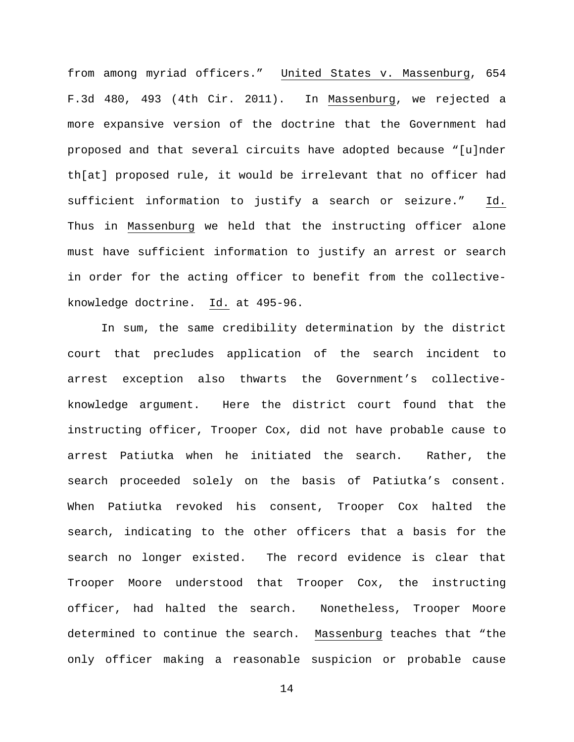from among myriad officers." United States v. Massenburg, 654 F.3d 480, 493 (4th Cir. 2011). In Massenburg, we rejected a more expansive version of the doctrine that the Government had proposed and that several circuits have adopted because "[u]nder th[at] proposed rule, it would be irrelevant that no officer had sufficient information to justify a search or seizure." Id. Thus in Massenburg we held that the instructing officer alone must have sufficient information to justify an arrest or search in order for the acting officer to benefit from the collectiveknowledge doctrine. Id. at 495-96.

In sum, the same credibility determination by the district court that precludes application of the search incident to arrest exception also thwarts the Government's collectiveknowledge argument. Here the district court found that the instructing officer, Trooper Cox, did not have probable cause to arrest Patiutka when he initiated the search. Rather, the search proceeded solely on the basis of Patiutka's consent. When Patiutka revoked his consent, Trooper Cox halted the search, indicating to the other officers that a basis for the search no longer existed. The record evidence is clear that Trooper Moore understood that Trooper Cox, the instructing officer, had halted the search. Nonetheless, Trooper Moore determined to continue the search. Massenburg teaches that "the only officer making a reasonable suspicion or probable cause